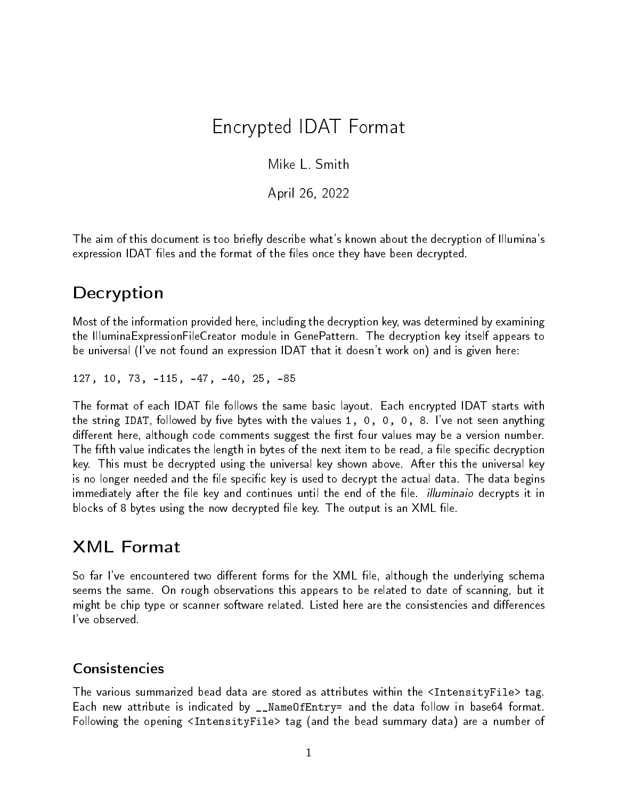# Encrypted IDAT Format

Mike L. Smith

April 26, 2022

The aim of this document is too briefly describe what's known about the decryption of Illumina's expression IDAT files and the format of the files once they have been decrypted.

## **Decryption**

Most of the information provided here, including the decryption key, was determined by examining the IlluminaExpressionFileCreator module in GenePattern. The decryption key itself appears to be universal (I've not found an expression IDAT that it doesn't work on) and is given here:

127, 10, 73, -115, -47, -40, 25, -85

The format of each IDAT file follows the same basic layout. Each encrypted IDAT starts with the string IDAT, followed by five bytes with the values 1, 0, 0, 0, 8. I've not seen anything different here, although code comments suggest the first four values may be a version number. The fifth value indicates the length in bytes of the next item to be read, a file specific decryption key. This must be decrypted using the universal key shown above. After this the universal key is no longer needed and the file specific key is used to decrypt the actual data. The data begins immediately after the file key and continues until the end of the file. *illuminaio* decrypts it in blocks of 8 bytes using the now decrypted file key. The output is an  $XML$  file.

### XML Format

So far I've encountered two different forms for the XML file, although the underlying schema seems the same. On rough observations this appears to be related to date of scanning, but it might be chip type or scanner software related. Listed here are the consistencies and differences I've observed.

#### Consistencies

The various summarized bead data are stored as attributes within the <IntensityFile> tag. Each new attribute is indicated by \_\_NameOfEntry= and the data follow in base64 format. Following the opening <IntensityFile> tag (and the bead summary data) are a number of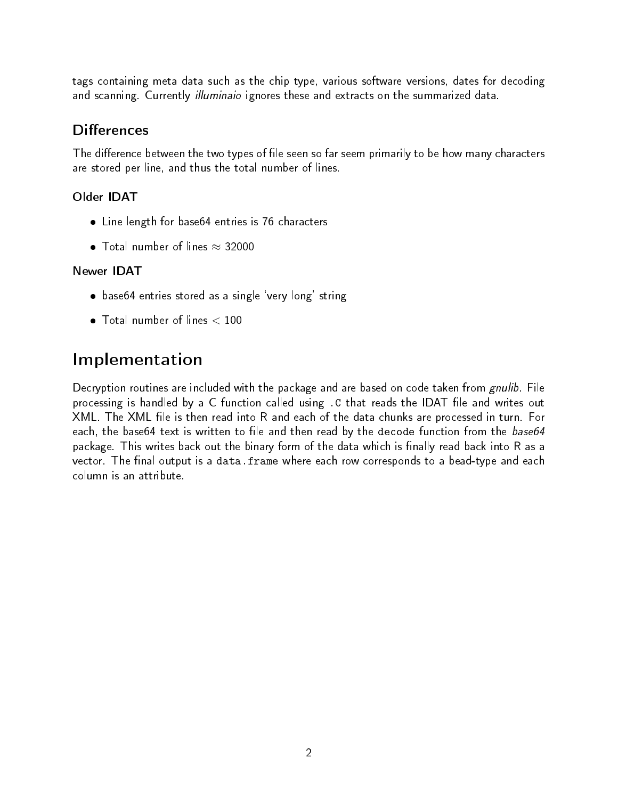tags containing meta data such as the chip type, various software versions, dates for decoding and scanning. Currently *illuminaio* ignores these and extracts on the summarized data.

### **Differences**

The difference between the two types of file seen so far seem primarily to be how many characters are stored per line, and thus the total number of lines.

### Older IDAT

- Line length for base64 entries is 76 characters
- $\bullet$  Total number of lines  $\approx$  32000

### Newer IDAT

- base64 entries stored as a single `very long' string
- Total number of lines < 100

# Implementation

Decryption routines are included with the package and are based on code taken from gnulib. File processing is handled by a C function called using . C that reads the IDAT file and writes out XML. The XML file is then read into R and each of the data chunks are processed in turn. For each, the base64 text is written to file and then read by the decode function from the base64 package. This writes back out the binary form of the data which is finally read back into R as a vector. The final output is a data.frame where each row corresponds to a bead-type and each column is an attribute.